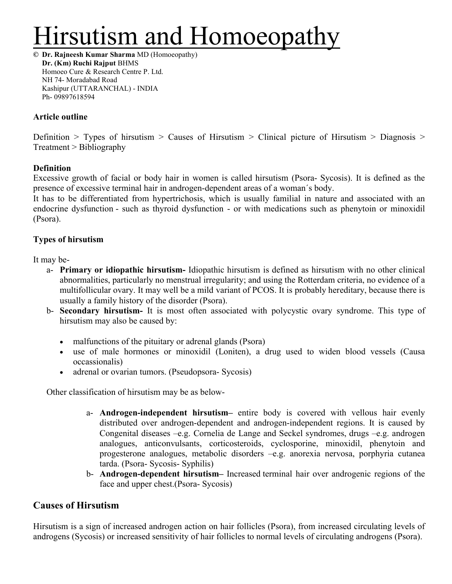# lirsutism and Homoeopath

**© Dr. Rajneesh Kumar Sharma** MD (Homoeopathy) **Dr. (Km) Ruchi Rajput** BHMS Homoeo Cure & Research Centre P. Ltd. NH 74- Moradabad Road Kashipur (UTTARANCHAL) - INDIA Ph- 09897618594

## **Article outline**

Definition  $>$  Types of hirsutism  $>$  Causes of Hirsutism  $>$  Clinical picture of Hirsutism  $>$  Diagnosis  $>$ Treatment > Bibliography

## **Definition**

Excessive growth of facial or body hair in women is called hirsutism (Psora- Sycosis). It is defined as the presence of excessive terminal hair in androgen-dependent areas of a woman´s body.

It has to be differentiated from hypertrichosis, which is usually familial in nature and associated with an endocrine dysfunction - such as thyroid dysfunction - or with medications such as phenytoin or minoxidil (Psora).

# **Types of hirsutism**

It may be-

- a- **Primary or idiopathic hirsutism-** Idiopathic hirsutism is defined as hirsutism with no other clinical abnormalities, particularly no menstrual irregularity; and using the Rotterdam criteria, no evidence of a multifollicular ovary. It may well be a mild variant of PCOS. It is probably hereditary, because there is usually a family history of the disorder (Psora).
- b- **Secondary hirsutism-** It is most often associated with polycystic ovary syndrome. This type of hirsutism may also be caused by:
	- malfunctions of the pituitary or adrenal glands (Psora)
	- use of male hormones or minoxidil (Loniten), a drug used to widen blood vessels (Causa occassionalis)
	- adrenal or ovarian tumors. (Pseudopsora- Sycosis)

Other classification of hirsutism may be as below-

- a- **Androgen-independent hirsutism–** entire body is covered with vellous hair evenly distributed over androgen-dependent and androgen-independent regions. It is caused by Congenital diseases –e.g. Cornelia de Lange and Seckel syndromes, drugs –e.g. androgen analogues, anticonvulsants, corticosteroids, cyclosporine, minoxidil, phenytoin and progesterone analogues, metabolic disorders –e.g. anorexia nervosa, porphyria cutanea tarda. (Psora- Sycosis- Syphilis)
- b- **Androgen-dependent hirsutism–** Increased terminal hair over androgenic regions of the face and upper chest.(Psora- Sycosis)

# **Causes of Hirsutism**

Hirsutism is a sign of increased androgen action on hair follicles (Psora), from increased circulating levels of androgens (Sycosis) or increased sensitivity of hair follicles to normal levels of circulating androgens (Psora).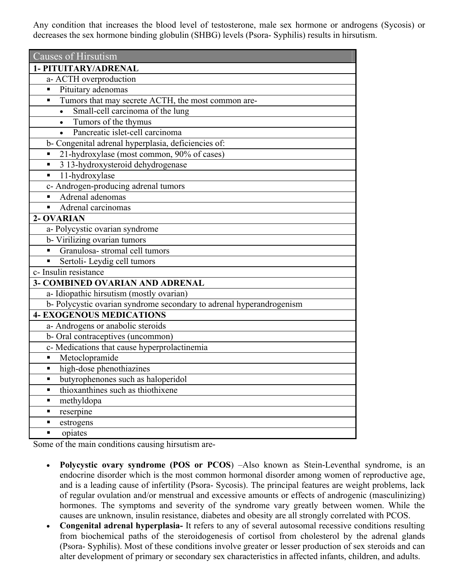Any condition that increases the blood level of testosterone, male sex hormone or androgens (Sycosis) or decreases the sex hormone binding globulin (SHBG) levels (Psora- Syphilis) results in hirsutism.

| Causes of Hirsutism                                                 |
|---------------------------------------------------------------------|
| 1- PITUITARY/ADRENAL                                                |
| a- ACTH overproduction                                              |
| Pituitary adenomas<br>п                                             |
| Tumors that may secrete ACTH, the most common are-<br>п             |
| Small-cell carcinoma of the lung<br>$\bullet$                       |
| Tumors of the thymus<br>$\bullet$                                   |
| Pancreatic islet-cell carcinoma<br>$\bullet$                        |
| b- Congenital adrenal hyperplasia, deficiencies of:                 |
| 21-hydroxylase (most common, 90% of cases)<br>п                     |
| 3 13-hydroxysteroid dehydrogenase<br>п                              |
| 11-hydroxylase<br>п                                                 |
| c- Androgen-producing adrenal tumors                                |
| Adrenal adenomas                                                    |
| Adrenal carcinomas                                                  |
| 2- OVARIAN                                                          |
| a- Polycystic ovarian syndrome                                      |
| b- Virilizing ovarian tumors                                        |
| Granulosa-stromal cell tumors                                       |
| Sertoli- Leydig cell tumors<br>п                                    |
| c- Insulin resistance                                               |
| 3- COMBINED OVARIAN AND ADRENAL                                     |
| a- Idiopathic hirsutism (mostly ovarian)                            |
| b-Polycystic ovarian syndrome secondary to adrenal hyperandrogenism |
| <b>4- EXOGENOUS MEDICATIONS</b>                                     |
| a- Androgens or anabolic steroids                                   |
| b-Oral contraceptives (uncommon)                                    |
| c- Medications that cause hyperprolactinemia                        |
| Metoclopramide                                                      |
| high-dose phenothiazines<br>٠                                       |
| butyrophenones such as haloperidol                                  |
| thioxanthines such as thiothixene<br>٠                              |
| methyldopa<br>٠                                                     |
| reserpine<br>п                                                      |
| estrogens<br>٠                                                      |
| opiates<br>٠                                                        |

Some of the main conditions causing hirsutism are-

- **Polycystic ovary syndrome (POS or PCOS**) –Also known as Stein-Leventhal syndrome, is an endocrine disorder which is the most common hormonal disorder among women of reproductive age, and is a leading cause of infertility (Psora- Sycosis). The principal features are weight problems, lack of regular ovulation and/or menstrual and excessive amounts or effects of androgenic (masculinizing) hormones. The symptoms and severity of the syndrome vary greatly between women. While the causes are unknown, insulin resistance, diabetes and obesity are all strongly correlated with PCOS.
- **Congenital adrenal hyperplasia-** It refers to any of several autosomal recessive conditions resulting from biochemical paths of the steroidogenesis of cortisol from cholesterol by the adrenal glands (Psora- Syphilis). Most of these conditions involve greater or lesser production of sex steroids and can alter development of primary or secondary sex characteristics in affected infants, children, and adults.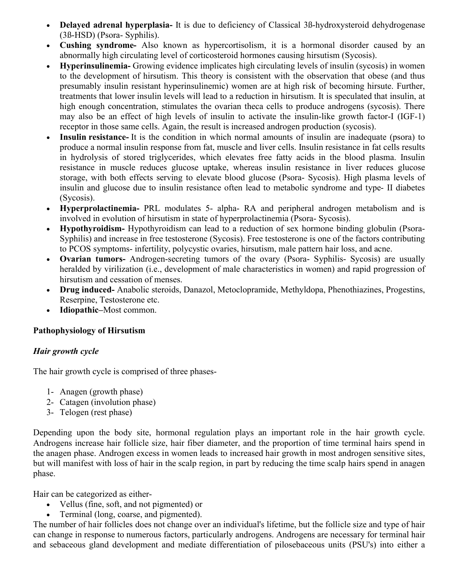- **Delayed adrenal hyperplasia-** It is due to deficiency of Classical 3ß-hydroxysteroid dehydrogenase (3ß-HSD) (Psora- Syphilis).
- **Cushing syndrome-** Also known as hypercortisolism, it is a hormonal disorder caused by an abnormally high circulating level of corticosteroid hormones causing hirsutism (Sycosis).
- **Hyperinsulinemia-** Growing evidence implicates high circulating levels of insulin (sycosis) in women to the development of hirsutism. This theory is consistent with the observation that obese (and thus presumably insulin resistant hyperinsulinemic) women are at high risk of becoming hirsute. Further, treatments that lower insulin levels will lead to a reduction in hirsutism. It is speculated that insulin, at high enough concentration, stimulates the ovarian theca cells to produce androgens (sycosis). There may also be an effect of high levels of insulin to activate the insulin-like growth factor-I (IGF-1) receptor in those same cells. Again, the result is increased androgen production (sycosis).
- **Insulin resistance-** It is the condition in which normal amounts of insulin are inadequate (psora) to produce a normal insulin response from fat, muscle and liver cells. Insulin resistance in fat cells results in hydrolysis of stored triglycerides, which elevates free fatty acids in the blood plasma. Insulin resistance in muscle reduces glucose uptake, whereas insulin resistance in liver reduces glucose storage, with both effects serving to elevate blood glucose (Psora- Sycosis). High plasma levels of insulin and glucose due to insulin resistance often lead to metabolic syndrome and type- II diabetes (Sycosis).
- **Hyperprolactinemia-** PRL modulates 5- alpha- RA and peripheral androgen metabolism and is involved in evolution of hirsutism in state of hyperprolactinemia (Psora- Sycosis).
- **Hypothyroidism-** Hypothyroidism can lead to a reduction of sex hormone binding globulin (Psora-Syphilis) and increase in free testosterone (Sycosis). Free testosterone is one of the factors contributing to PCOS symptoms- infertility, polycystic ovaries, hirsutism, male pattern hair loss, and acne.
- **Ovarian tumors-** Androgen-secreting tumors of the ovary (Psora- Syphilis- Sycosis) are usually heralded by virilization (i.e., development of male characteristics in women) and rapid progression of hirsutism and cessation of menses.
- **Drug induced-** Anabolic steroids, Danazol, Metoclopramide, Methyldopa, Phenothiazines, Progestins, Reserpine, Testosterone etc.
- **Idiopathic–**Most common.

# **Pathophysiology of Hirsutism**

# *Hair growth cycle*

The hair growth cycle is comprised of three phases-

- 1- Anagen (growth phase)
- 2- Catagen (involution phase)
- 3- Telogen (rest phase)

Depending upon the body site, hormonal regulation plays an important role in the hair growth cycle. Androgens increase hair follicle size, hair fiber diameter, and the proportion of time terminal hairs spend in the anagen phase. Androgen excess in women leads to increased hair growth in most androgen sensitive sites, but will manifest with loss of hair in the scalp region, in part by reducing the time scalp hairs spend in anagen phase.

Hair can be categorized as either-

- Vellus (fine, soft, and not pigmented) or
- Terminal (long, coarse, and pigmented).

The number of hair follicles does not change over an individual's lifetime, but the follicle size and type of hair can change in response to numerous factors, particularly androgens. Androgens are necessary for terminal hair and sebaceous gland development and mediate differentiation of pilosebaceous units (PSU's) into either a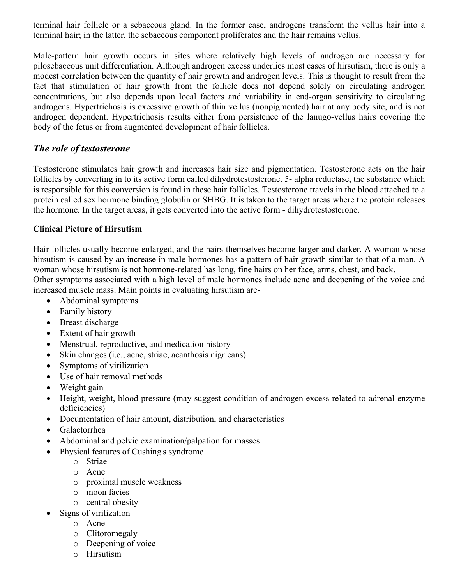terminal hair follicle or a sebaceous gland. In the former case, androgens transform the vellus hair into a terminal hair; in the latter, the sebaceous component proliferates and the hair remains vellus.

Male-pattern hair growth occurs in sites where relatively high levels of androgen are necessary for pilosebaceous unit differentiation. Although androgen excess underlies most cases of hirsutism, there is only a modest correlation between the quantity of hair growth and androgen levels. This is thought to result from the fact that stimulation of hair growth from the follicle does not depend solely on circulating androgen concentrations, but also depends upon local factors and variability in end-organ sensitivity to circulating androgens. Hypertrichosis is excessive growth of thin vellus (nonpigmented) hair at any body site, and is not androgen dependent. Hypertrichosis results either from persistence of the lanugo-vellus hairs covering the body of the fetus or from augmented development of hair follicles.

# *The role of testosterone*

Testosterone stimulates hair growth and increases hair size and pigmentation. Testosterone acts on the hair follicles by converting in to its active form called dihydrotestosterone. 5- alpha reductase, the substance which is responsible for this conversion is found in these hair follicles. Testosterone travels in the blood attached to a protein called sex hormone binding globulin or SHBG. It is taken to the target areas where the protein releases the hormone. In the target areas, it gets converted into the active form - dihydrotestosterone.

# **Clinical Picture of Hirsutism**

Hair follicles usually become enlarged, and the hairs themselves become larger and darker. A woman whose hirsutism is caused by an increase in male hormones has a pattern of hair growth similar to that of a man. A woman whose hirsutism is not hormone-related has long, fine hairs on her face, arms, chest, and back. Other symptoms associated with a high level of male hormones include acne and deepening of the voice and increased muscle mass. Main points in evaluating hirsutism are-

- Abdominal symptoms
- Family history
- Breast discharge
- Extent of hair growth
- Menstrual, reproductive, and medication history
- Skin changes (i.e., acne, striae, acanthosis nigricans)
- Symptoms of virilization
- Use of hair removal methods
- Weight gain
- Height, weight, blood pressure (may suggest condition of androgen excess related to adrenal enzyme deficiencies)
- Documentation of hair amount, distribution, and characteristics
- Galactorrhea
- Abdominal and pelvic examination/palpation for masses
- Physical features of Cushing's syndrome
	- o Striae
	- o Acne
	- o proximal muscle weakness
	- o moon facies
	- o central obesity
- Signs of virilization
	- o Acne
	- o Clitoromegaly
	- o Deepening of voice
	- o Hirsutism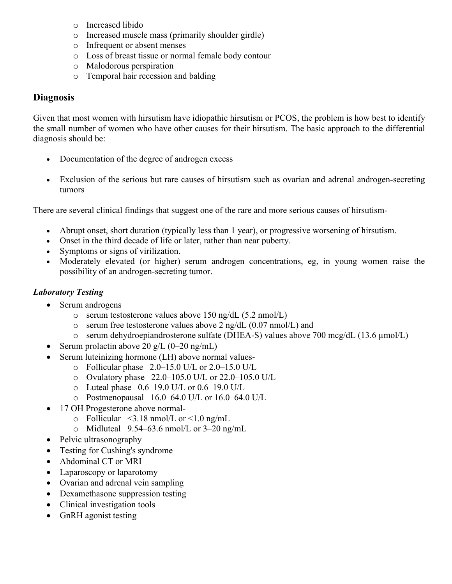- o Increased libido
- o Increased muscle mass (primarily shoulder girdle)
- o Infrequent or absent menses
- o Loss of breast tissue or normal female body contour
- o Malodorous perspiration
- o Temporal hair recession and balding

# **Diagnosis**

Given that most women with hirsutism have idiopathic hirsutism or PCOS, the problem is how best to identify the small number of women who have other causes for their hirsutism. The basic approach to the differential diagnosis should be:

- Documentation of the degree of androgen excess
- Exclusion of the serious but rare causes of hirsutism such as ovarian and adrenal androgen-secreting tumors

There are several clinical findings that suggest one of the rare and more serious causes of hirsutism-

- Abrupt onset, short duration (typically less than 1 year), or progressive worsening of hirsutism.
- Onset in the third decade of life or later, rather than near puberty.
- Symptoms or signs of virilization.
- Moderately elevated (or higher) serum androgen concentrations, eg, in young women raise the possibility of an androgen-secreting tumor.

# *Laboratory Testing*

- Serum androgens
	- o serum testosterone values above 150 ng/dL (5.2 nmol/L)
	- $\circ$  serum free testosterone values above 2 ng/dL (0.07 nmol/L) and
	- o serum dehydroepiandrosterone sulfate (DHEA-S) values above 700 mcg/dL (13.6 µmol/L)
- Serum prolactin above 20 g/L  $(0-20 \text{ ng/mL})$
- Serum luteinizing hormone (LH) above normal values
	- o Follicular phase 2.0–15.0 U/L or 2.0–15.0 U/L
	- o Ovulatory phase 22.0–105.0 U/L or 22.0–105.0 U/L
	- $\circ$  Luteal phase  $0.6-19.0$  U/L or  $0.6-19.0$  U/L
	- o Postmenopausal 16.0–64.0 U/L or 16.0–64.0 U/L
- 17 OH Progesterone above normal-
	- $\circ$  Follicular <3.18 nmol/L or <1.0 ng/mL
	- o Midluteal  $9.54-63.6$  nmol/L or  $3-20$  ng/mL
- Pelvic ultrasonography
- Testing for Cushing's syndrome
- Abdominal CT or MRI
- Laparoscopy or laparotomy
- Ovarian and adrenal vein sampling
- Dexamethasone suppression testing
- Clinical investigation tools
- GnRH agonist testing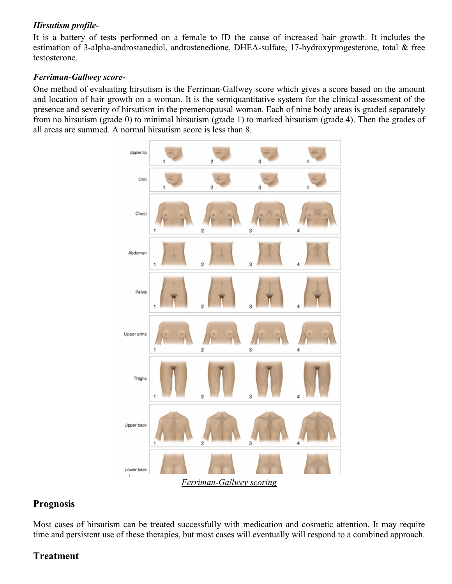# *Hirsutism profile-*

It is a battery of tests performed on a female to ID the cause of increased hair growth. It includes the estimation of 3-alpha-androstanediol, androstenedione, DHEA-sulfate, 17-hydroxyprogesterone, total & free testosterone.

## *Ferriman-Gallwey score-*

One method of evaluating hirsutism is the Ferriman-Gallwey score which gives a score based on the amount and location of hair growth on a woman. It is the semiquantitative system for the clinical assessment of the presence and severity of hirsutism in the premenopausal woman. Each of nine body areas is graded separately from no hirsutism (grade 0) to minimal hirsutism (grade 1) to marked hirsutism (grade 4). Then the grades of all areas are summed. A normal hirsutism score is less than 8.



## **Prognosis**

Most cases of hirsutism can be treated successfully with medication and cosmetic attention. It may require time and persistent use of these therapies, but most cases will eventually will respond to a combined approach.

# **Treatment**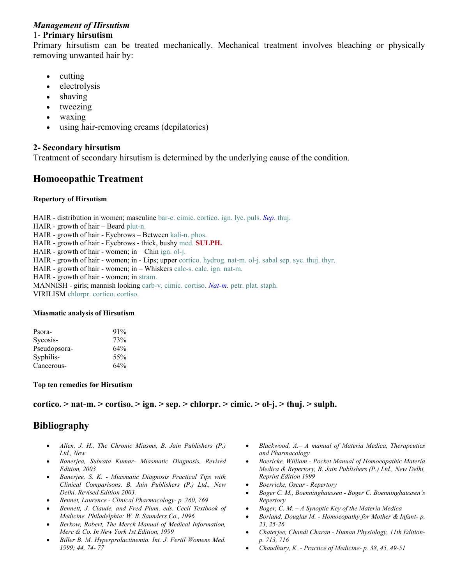#### *Management of Hirsutism* 1- **Primary hirsutism**

Primary hirsutism can be treated mechanically. Mechanical treatment involves bleaching or physically removing unwanted hair by:

- $\bullet$  cutting
- electrolysis
- shaving
- tweezing
- waxing
- using hair-removing creams (depilatories)

### **2- Secondary hirsutism**

Treatment of secondary hirsutism is determined by the underlying cause of the condition.

# **Homoeopathic Treatment**

#### **Repertory of Hirsutism**

HAIR - distribution in women; masculine bar-c. cimic. cortico. ign. lyc. puls. *Sep.* thuj.

HAIR - growth of hair – Beard plut-n.

HAIR - growth of hair - Eyebrows – Between kali-n. phos.

HAIR - growth of hair - Eyebrows - thick, bushy med. **SULPH.**

HAIR - growth of hair - women; in – Chin ign. ol-j.

HAIR - growth of hair - women; in - Lips; upper cortico. hydrog. nat-m. ol-j. sabal sep. syc. thuj. thyr.

HAIR - growth of hair - women; in – Whiskers calc-s. calc. ign. nat-m.

HAIR - growth of hair - women; in stram.

MANNISH - girls; mannish looking carb-v. cimic. cortiso. *Nat-m.* petr. plat. staph.

VIRILISM chlorpr. cortico. cortiso.

#### **Miasmatic analysis of Hirsutism**

| Psora-       | $91\%$ |
|--------------|--------|
| Sycosis-     | 73%    |
| Pseudopsora- | 64%    |
| Syphilis-    | 55%    |
| Cancerous-   | 64%    |

#### **Top ten remedies for Hirsutism**

#### **cortico. > nat-m. > cortiso. > ign. > sep. > chlorpr. > cimic. > ol-j. > thuj. > sulph.**

# **Bibliography**

- *Allen, J. H., The Chronic Miasms, B. Jain Publishers (P.) Ltd., New*
- *Banerjea, Subrata Kumar- Miasmatic Diagnosis, Revised Edition, 2003*
- *Banerjee, S. K. Miasmatic Diagnosis Practical Tips with Clinical Comparisons, B. Jain Publishers (P.) Ltd., New Delhi, Revised Edition 2003.*
- *Bennet, Laurence Clinical Pharmacology- p. 760, 769*
- *Bennett, J. Claude, and Fred Plum, eds. Cecil Textbook of Medicine. Philadelphia: W. B. Saunders Co., 1996*
- *Berkow, Robert, The Merck Manual of Medical Information, Merc & Co. In New York 1st Edition, 1999*
- *Biller B. M. Hyperprolactinemia. Int. J. Fertil Womens Med. 1999; 44, 74- 77*
- *Blackwood, A.– A manual of Materia Medica, Therapeutics and Pharmacology*
- *Boericke, William Pocket Manual of Homoeopathic Materia Medica & Repertory, B. Jain Publishers (P.) Ltd., New Delhi, Reprint Edition 1999*
- *Boerricke, Oscar Repertory*
- *Boger C. M., Boenninghaussen Boger C. Boenninghaussen's Repertory*
- *Boger, C. M. A Synoptic Key of the Materia Medica*
- *Borland, Douglas M. Homoeopathy for Mother & Infant- p. 23, 25-26*
- *Chaterjee, Chandi Charan Human Physiology, 11th Editionp. 713, 716*
- *Chaudhury, K. Practice of Medicine- p. 38, 45, 49-51*